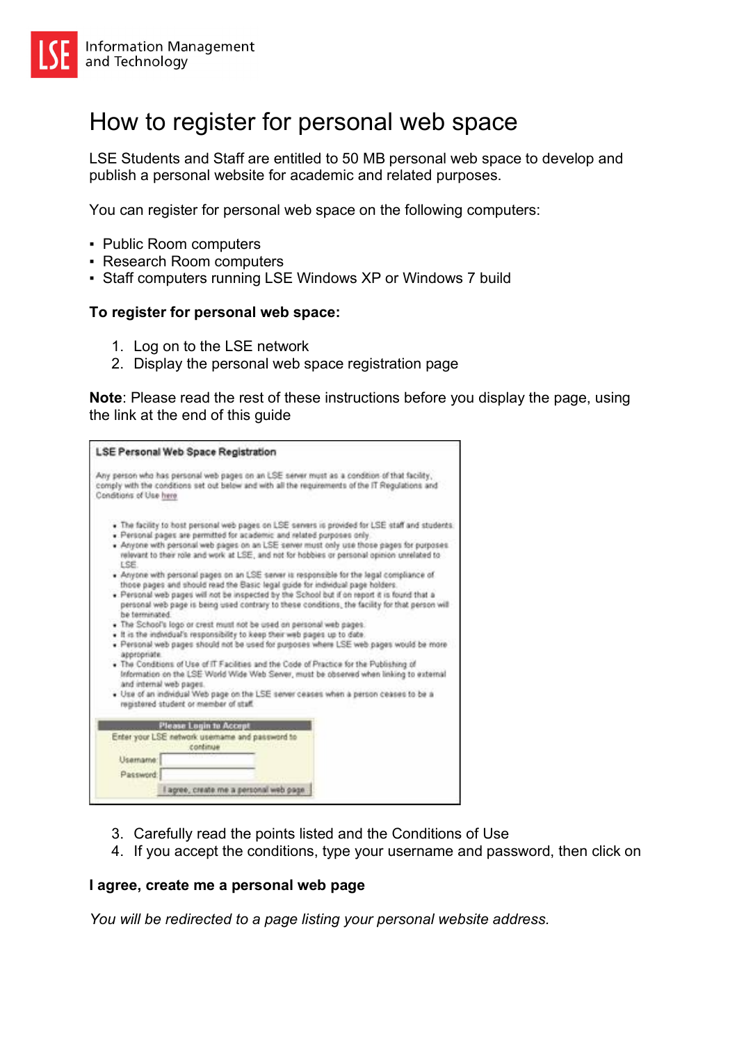## How to register for personal web space

LSE Students and Staff are entitled to 50 MB personal web space to develop and publish a personal website for academic and related purposes.

You can register for personal web space on the following computers:

- Public Room computers
- Research Room computers
- Staff computers running LSE Windows XP or Windows 7 build

## **To register for personal web space:**

- 1. Log on to the LSE network
- 2. Display the personal web space registration page

**Note**: Please read the rest of these instructions before you display the page, using the link at the end of this guide

| LSE Personal Web Space Registration                                                                                                                                                                                                                                                                                                                                                                                                                                                                                                                                                                                                                                                                                                                                                                                                                                                                                                                                                                                                                                                                                                                                                                                                                                                                                                                                                                    |
|--------------------------------------------------------------------------------------------------------------------------------------------------------------------------------------------------------------------------------------------------------------------------------------------------------------------------------------------------------------------------------------------------------------------------------------------------------------------------------------------------------------------------------------------------------------------------------------------------------------------------------------------------------------------------------------------------------------------------------------------------------------------------------------------------------------------------------------------------------------------------------------------------------------------------------------------------------------------------------------------------------------------------------------------------------------------------------------------------------------------------------------------------------------------------------------------------------------------------------------------------------------------------------------------------------------------------------------------------------------------------------------------------------|
| Any parson who has personal web pages on an LSE server must as a condition of that facility,<br>comply with the conditions set out below and with all the requirements of the IT Regulations and<br>Conditions of Use here                                                                                                                                                                                                                                                                                                                                                                                                                                                                                                                                                                                                                                                                                                                                                                                                                                                                                                                                                                                                                                                                                                                                                                             |
| . The facility to bost personal web pages on LSE servers is provided for LSE staff and students.<br>. Personal pages are permitted for academic and related purposes only<br>. Anyone with personal web pages on an LSE server must only use those pages for purposes.<br>relevant to their role and work at LSE, and not for hobbies or personal opinion unrelated to<br>ESE.<br>. Anyone with personal pages on an LSE server is responsible for the legal compliance of<br>those pages and should read the Basic legal guide for individual page holders.<br>. Personal web pages will not be inspected by the School but if on report it is found that a<br>personal web page is being used contrary to these conditions, the facility for that person will<br>be terminated.<br>. The School's logo or crest must not be used on personal web pages.<br>. It is the individual's responsibility to keep their web pages up to date.<br>. Personal web pages should not be used for purposes where LSE web pages would be more<br>appropriate.<br>. The Conditions of Use of IT Facilities and the Code of Practice for the Publishing of<br>Information on the LSE World Wide Web Server, must be observed when linking to external<br>and internal web pages.<br>. Use of an individual Web page on the LSE server ceases when a person ceases to be a<br>main to vedment to trebuts beneficient |
| <b>Please Login to Accept</b><br>Enter your LSE network usemame and password to<br>continue<br>Usamame:<br>Password:<br>I agree, create me a personal web page.                                                                                                                                                                                                                                                                                                                                                                                                                                                                                                                                                                                                                                                                                                                                                                                                                                                                                                                                                                                                                                                                                                                                                                                                                                        |

- 3. Carefully read the points listed and the Conditions of Use
- 4. If you accept the conditions, type your username and password, then click on

## **I agree, create me a personal web page**

*You will be redirected to a page listing your personal website address.*